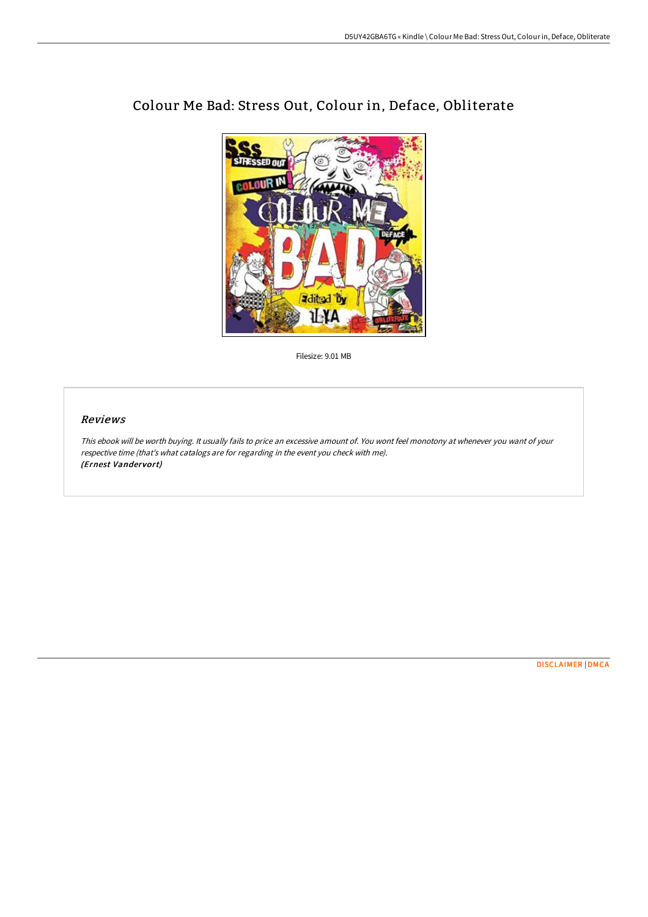

# Colour Me Bad: Stress Out, Colour in, Deface, Obliterate

Filesize: 9.01 MB

## Reviews

This ebook will be worth buying. It usually fails to price an excessive amount of. You wont feel monotony at whenever you want of your respective time (that's what catalogs are for regarding in the event you check with me). (Ernest Vandervort)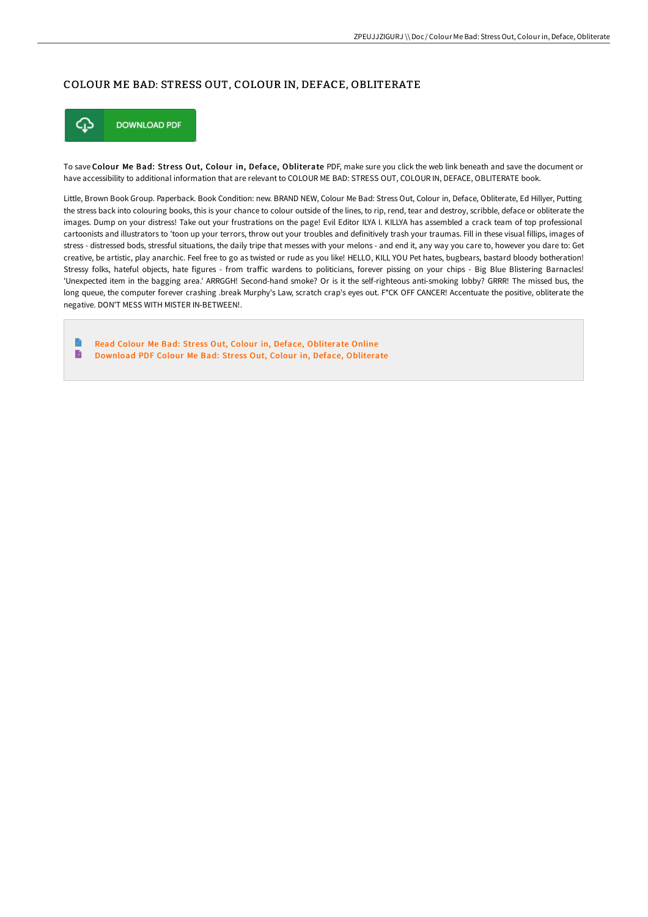### COLOUR ME BAD: STRESS OUT, COLOUR IN, DEFACE, OBLITERATE



To save Colour Me Bad: Stress Out, Colour in, Deface, Obliterate PDF, make sure you click the web link beneath and save the document or have accessibility to additional information that are relevant to COLOUR ME BAD: STRESS OUT, COLOUR IN, DEFACE, OBLITERATE book.

Little, Brown Book Group. Paperback. Book Condition: new. BRAND NEW, Colour Me Bad: Stress Out, Colour in, Deface, Obliterate, Ed Hillyer, Putting the stress back into colouring books, this is your chance to colour outside of the lines, to rip, rend, tear and destroy, scribble, deface or obliterate the images. Dump on your distress! Take out your frustrations on the page! Evil Editor ILYA I. KILLYA has assembled a crack team of top professional cartoonists and illustrators to 'toon up your terrors, throw out your troubles and definitively trash your traumas. Fill in these visual fillips, images of stress - distressed bods, stressful situations, the daily tripe that messes with your melons - and end it, any way you care to, however you dare to: Get creative, be artistic, play anarchic. Feel free to go as twisted or rude as you like! HELLO, KILL YOU Pet hates, bugbears, bastard bloody botheration! Stressy folks, hateful objects, hate figures - from traFic wardens to politicians, forever pissing on your chips - Big Blue Blistering Barnacles! 'Unexpected item in the bagging area.' ARRGGH! Second-hand smoke? Or is it the self-righteous anti-smoking lobby? GRRR! The missed bus, the long queue, the computer forever crashing .break Murphy's Law, scratch crap's eyes out. F\*CK OFF CANCER! Accentuate the positive, obliterate the negative. DON'T MESS WITH MISTER IN-BETWEEN!.

Read Colour Me Bad: Stress Out, Colour in, Deface, [Obliterate](http://techno-pub.tech/colour-me-bad-stress-out-colour-in-deface-oblite.html) Online Download PDF Colour Me Bad: Stress Out, Colour in, Deface, [Obliterate](http://techno-pub.tech/colour-me-bad-stress-out-colour-in-deface-oblite.html)B